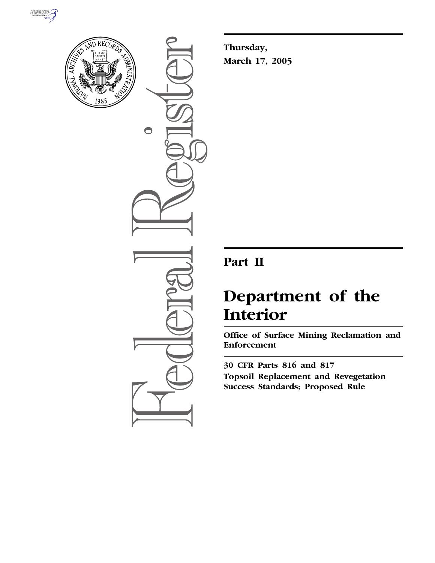



 $\bigcirc$ 

**Thursday, March 17, 2005**

# **Part II**

# **Department of the Interior**

**Office of Surface Mining Reclamation and Enforcement** 

**30 CFR Parts 816 and 817 Topsoil Replacement and Revegetation Success Standards; Proposed Rule**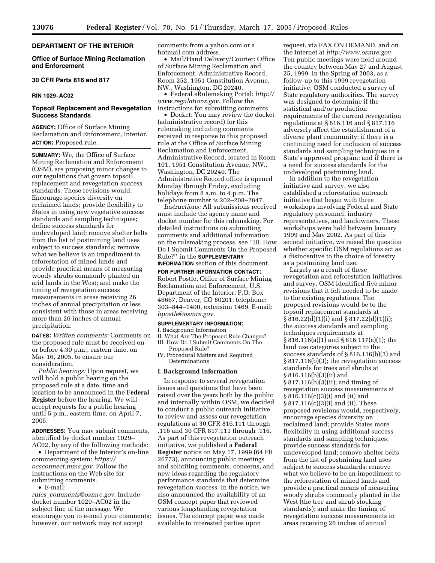# **DEPARTMENT OF THE INTERIOR**

### **Office of Surface Mining Reclamation and Enforcement**

# **30 CFR Parts 816 and 817**

### **RIN 1029–AC02**

# **Topsoil Replacement and Revegetation Success Standards**

**AGENCY:** Office of Surface Mining Reclamation and Enforcement, Interior. **ACTION:** Proposed rule.

**SUMMARY:** We, the Office of Surface Mining Reclamation and Enforcement (OSM), are proposing minor changes to our regulations that govern topsoil replacement and revegetation success standards. These revisions would: Encourage species diversity on reclaimed lands; provide flexibility to States in using new vegetative success standards and sampling techniques; define success standards for undeveloped land; remove shelter belts from the list of postmining land uses subject to success standards; remove what we believe is an impediment to reforestation of mined lands and provide practical means of measuring woody shrubs commonly planted on arid lands in the West; and make the timing of revegetation success measurements in areas receiving 26 inches of annual precipitation or less consistent with those in areas receiving more than 26 inches of annual precipitation.

**DATES:** *Written comments:* Comments on the proposed rule must be received on or before 4:30 p.m., eastern time, on May 16, 2005, to ensure our consideration.

*Public hearings:* Upon request, we will hold a public hearing on the proposed rule at a date, time and location to be announced in the **Federal Register** before the hearing. We will accept requests for a public hearing until 5 p.m., eastern time, on April 7, 2005.

**ADDRESSES:** You may submit comments, identified by docket number 1029– AC02, by any of the following methods:

• Department of the Interior's on-line commenting system: *https:// ocsconnect.mms.gov*. Follow the instructions on the Web site for submitting comments.

• E-mail:

*rules*\_*comments@osmre.gov*. Include docket number 1029–AC02 in the subject line of the message. We encourage you to e-mail your comments; however, our network may not accept

comments from a yahoo.com or a hotmail.com address.

• Mail/Hand Delivery/Courier: Office of Surface Mining Reclamation and Enforcement, Administrative Record, Room 252, 1951 Constitution Avenue, NW., Washington, DC 20240.

• Federal eRulemaking Portal: *http:// www.regulations.gov*. Follow the instructions for submitting comments.

• Docket: You may review the docket (administrative record) for this rulemaking including comments received in response to this proposed rule at the Office of Surface Mining Reclamation and Enforcement, Administrative Record, located in Room 101, 1951 Constitution Avenue, NW., Washington, DC 20240. The Administrative Record office is opened Monday through Friday, excluding holidays from 8 a.m. to 4 p.m. The telephone number is 202–208–2847.

*Instructions:* All submissions received must include the agency name and docket number for this rulemaking. For detailed instructions on submitting comments and additional information on the rulemaking process, see ''III. How Do I Submit Comments On the Proposed Rule?'' in the **SUPPLEMENTARY**

**INFORMATION** section of this document.

**FOR FURTHER INFORMATION CONTACT:** Robert Postle, Office of Surface Mining Reclamation and Enforcement, U.S. Department of the Interior, P.O. Box 46667, Denver, CO 80201; telephone: 303–844–1400, extension 1469. E-mail: *bpostle@osmre.gov*.

#### **SUPPLEMENTARY INFORMATION:**

I. Background Information

- II. What Are The Proposed Rule Changes?
- III. How Do I Submit Comments On The Proposed Rule?
- IV. Procedural Matters and Required Determinations

#### **I. Background Information**

In response to several revegetation issues and questions that have been raised over the years both by the public and internally within OSM, we decided to conduct a public outreach initiative to review and assess our revegetation regulations at 30 CFR 816.111 through .116 and 30 CFR 817.111 through .116. As part of this revegetation outreach initiative, we published a **Federal Register** notice on May 17, 1999 (64 FR 26773), announcing public meetings and soliciting comments, concerns, and new ideas regarding the regulatory performance standards that determine revegetation success. In the notice, we also announced the availability of an OSM concept paper that reviewed various longstanding revegetation issues. The concept paper was made available to interested parties upon

request, via FAX ON DEMAND, and on the Internet at *http://www.osmre.gov*. Ten public meetings were held around the country between May 27 and August 25, 1999. In the Spring of 2003, as a follow-up to this 1999 revegetation initiative, OSM conducted a survey of State regulatory authorities. The survey was designed to determine if the statistical and/or production requirements of the current revegetation regulations at § 816.116 and § 817.116 adversely affect the establishment of a diverse plant community; if there is a continuing need for inclusion of success standards and sampling techniques in a State's approved program; and if there is a need for success standards for the undeveloped postmining land.

In addition to the revegetation initiative and survey, we also established a reforestation outreach initiative that began with three workshops involving Federal and State regulatory personnel, industry representatives, and landowners. These workshops were held between January 1999 and May 2002. As part of this second initiative, we raised the question whether specific OSM regulations act as a disincentive to the choice of forestry as a postmining land use.

Largely as a result of these revegetation and reforestation initiatives and survey, OSM identified five minor revisions that it felt needed to be made to the existing regulations. The proposed revisions would be to the topsoil replacement standards at § 816.22(d)(1)(i) and § 817.22(d)(1)(i); the success standards and sampling techniques requirements at § 816.116(a)(1) and § 816.117(a)(1); the land use categories subject to the success standards of § 816.116(b)(3) and § 817.116(b)(3); the revegetation success standards for trees and shrubs at § 816.116(b)(3)(ii) and § 817.116(b)(3)(ii); and timing of revegetation success measurements at § 816.116(c)(3)(i) and (ii) and § 817.116(c)(3)(i) and (ii). These proposed revisions would, respectively, encourage species diversity on reclaimed land; provide States more flexibility in using additional success standards and sampling techniques; provide success standards for undeveloped land; remove shelter belts from the list of postmining land uses subject to success standards; remove what we believe to be an impediment to the reforestation of mined lands and provide a practical means of measuring woody shrubs commonly planted in the West (the tree and shrub stocking standards); and make the timing of revegetation success measurements in areas receiving 26 inches of annual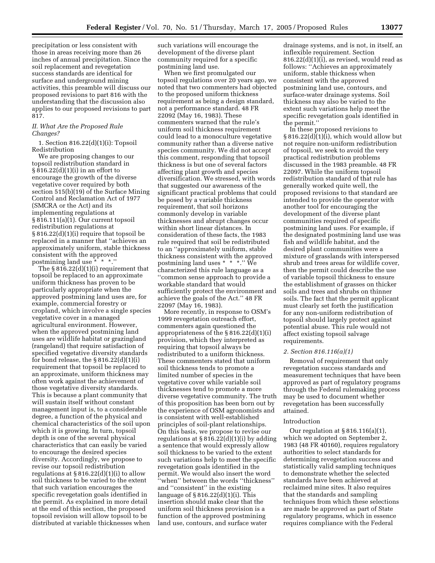precipitation or less consistent with those in areas receiving more than 26 inches of annual precipitation. Since the soil replacement and revegetation success standards are identical for surface and underground mining activities, this preamble will discuss our proposed revisions to part 816 with the understanding that the discussion also applies to our proposed revisions to part 817.

### *II. What Are the Proposed Rule Changes?*

1. Section 816.22(d)(1)(i): Topsoil Redistribution

We are proposing changes to our topsoil redistribution standard in § 816.22(d)(1)(i) in an effort to encourage the growth of the diverse vegetative cover required by both section 515(b)(19) of the Surface Mining Control and Reclamation Act of 1977 (SMCRA or the Act) and its implementing regulations at § 816.111(a)(1). Our current topsoil redistribution regulations at § 816.22(d)(1)(i) require that topsoil be replaced in a manner that ''achieves an approximately uniform, stable thickness consistent with the approved postmining land use \* \* \*.''

The § 816.22(d)(1)(i) requirement that topsoil be replaced to an approximate uniform thickness has proven to be particularly appropriate when the approved postmining land uses are, for example, commercial forestry or cropland, which involve a single species vegetative cover in a managed agricultural environment. However, when the approved postmining land uses are wildlife habitat or grazingland (rangeland) that require satisfaction of specified vegetative diversity standards for bond release, the  $\S 816.22(d)(1)(i)$ requirement that topsoil be replaced to an approximate, uniform thickness may often work against the achievement of those vegetative diversity standards. This is because a plant community that will sustain itself without constant management input is, to a considerable degree, a function of the physical and chemical characteristics of the soil upon which it is growing. In turn, topsoil depth is one of the several physical characteristics that can easily be varied to encourage the desired species diversity. Accordingly, we propose to revise our topsoil redistribution regulations at  $\S 816.22(d)(1)(i)$  to allow soil thickness to be varied to the extent that such variation encourages the specific revegetation goals identified in the permit. As explained in more detail at the end of this section, the proposed topsoil revision will allow topsoil to be distributed at variable thicknesses when

such variations will encourage the development of the diverse plant community required for a specific postmining land use.

When we first promulgated our topsoil regulations over 20 years ago, we noted that two commenters had objected to the proposed uniform thickness requirement as being a design standard, not a performance standard. 48 FR 22092 (May 16, 1983). These commenters warned that the rule's uniform soil thickness requirement could lead to a monoculture vegetative community rather than a diverse native species community. We did not accept this comment, responding that topsoil thickness is but one of several factors affecting plant growth and species diversification. We stressed, with words that suggested our awareness of the significant practical problems that could be posed by a variable thickness requirement, that soil horizons commonly develop in variable thicknesses and abrupt changes occur within short linear distances. In consideration of these facts, the 1983 rule required that soil be redistributed to an ''approximately uniform, stable thickness consistent with the approved postmining land uses \* \* \*.'' We characterized this rule language as a ''common sense approach to provide a workable standard that would sufficiently protect the environment and achieve the goals of the Act.'' 48 FR 22097 (May 16, 1983).

More recently, in response to OSM's 1999 revegetation outreach effort, commenters again questioned the appropriateness of the § 816.22(d)(1)(i) provision, which they interpreted as requiring that topsoil always be redistributed to a uniform thickness. These commenters stated that uniform soil thickness tends to promote a limited number of species in the vegetative cover while variable soil thicknesses tend to promote a more diverse vegetative community. The truth of this proposition has been born out by the experience of OSM agronomists and is consistent with well-established principles of soil-plant relationships. On this basis, we propose to revise our regulations at  $\S 816.22(d)(1)(i)$  by adding a sentence that would expressly allow soil thickness to be varied to the extent such variations help to meet the specific revegetation goals identified in the permit. We would also insert the word ''when'' between the words ''thickness'' and ''consistent'' in the existing language of § 816.22(d)(1)(i). This insertion should make clear that the uniform soil thickness provision is a function of the approved postmining land use, contours, and surface water

drainage systems, and is not, in itself, an inflexible requirement. Section 816.22(d)(1)(i), as revised, would read as follows: ''Achieves an approximately uniform, stable thickness when consistent with the approved postmining land use, contours, and surface-water drainage systems. Soil thickness may also be varied to the extent such variations help meet the specific revegetation goals identified in the permit.''

In these proposed revisions to § 816.22(d)(1)(i), which would allow but not require non-uniform redistribution of topsoil, we seek to avoid the very practical redistribution problems discussed in the 1983 preamble. 48 FR 22097. While the uniform topsoil redistribution standard of that rule has generally worked quite well, the proposed revisions to that standard are intended to provide the operator with another tool for encouraging the development of the diverse plant communities required of specific postmining land uses. For example, if the designated postmining land use was fish and wildlife habitat, and the desired plant communities were a mixture of grasslands with interspersed shrub and trees areas for wildlife cover, then the permit could describe the use of variable topsoil thickness to ensure the establishment of grasses on thicker soils and trees and shrubs on thinner soils. The fact that the permit applicant must clearly set forth the justification for any non-uniform redistribution of topsoil should largely protect against potential abuse. This rule would not affect existing topsoil salvage requirements.

#### *2. Section 816.116(a)(1)*

Removal of requirement that only revegetation success standards and measurement techniques that have been approved as part of regulatory programs through the Federal rulemaking process may be used to document whether revegetation has been successfully attained.

#### Introduction

Our regulation at § 816.116(a)(1), which we adopted on September 2, 1983 (48 FR 40160), requires regulatory authorities to select standards for determining revegetation success and statistically valid sampling techniques to demonstrate whether the selected standards have been achieved at reclaimed mine sites. It also requires that the standards and sampling techniques from which these selections are made be approved as part of State regulatory programs, which in essence requires compliance with the Federal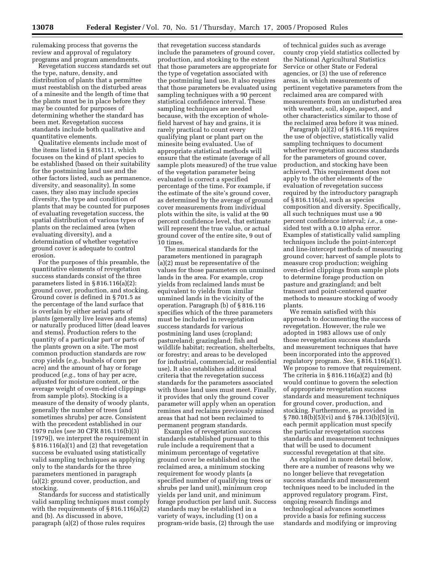rulemaking process that governs the review and approval of regulatory programs and program amendments.

Revegetation success standards set out the type, nature, density, and distribution of plants that a permittee must reestablish on the disturbed areas of a minesite and the length of time that the plants must be in place before they may be counted for purposes of determining whether the standard has been met. Revegetation success standards include both qualitative and quantitative elements.

Qualitative elements include most of the items listed in § 816.111, which focuses on the kind of plant species to be established (based on their suitability for the postmining land use and the other factors listed, such as permanence, diversity, and seasonality). In some cases, they also may include species diversity, the type and condition of plants that may be counted for purposes of evaluating revegetation success, the spatial distribution of various types of plants on the reclaimed area (when evaluating diversity), and a determination of whether vegetative ground cover is adequate to control erosion.

For the purposes of this preamble, the quantitative elements of revegetation success standards consist of the three parameters listed in § 816.116(a)(2): ground cover, production, and stocking. Ground cover is defined in § 701.5 as the percentage of the land surface that is overlain by either aerial parts of plants (generally live leaves and stems) or naturally produced litter (dead leaves and stems). Production refers to the quantity of a particular part or parts of the plants grown on a site. The most common production standards are row crop yields (*e.g.,* bushels of corn per acre) and the amount of hay or forage produced (*e.g.,* tons of hay per acre, adjusted for moisture content, or the average weight of oven-dried clippings from sample plots). Stocking is a measure of the density of woody plants, generally the number of trees (and sometimes shrubs) per acre. Consistent with the precedent established in our 1979 rules (*see* 30 CFR 816.116(b)(3) [1979]), we interpret the requirement in § 816.116(a)(1) and (2) that revegetation success be evaluated using statistically valid sampling techniques as applying only to the standards for the three parameters mentioned in paragraph (a)(2): ground cover, production, and stocking.

Standards for success and statistically valid sampling techniques must comply with the requirements of  $\S 816.116(a)(2)$ and (b). As discussed in above, paragraph (a)(2) of those rules requires

that revegetation success standards include the parameters of ground cover, production, and stocking to the extent that those parameters are appropriate for the type of vegetation associated with the postmining land use. It also requires that those parameters be evaluated using sampling techniques with a 90 percent statistical confidence interval. These sampling techniques are needed because, with the exception of wholefield harvest of hay and grains, it is rarely practical to count every qualifying plant or plant part on the minesite being evaluated. Use of appropriate statistical methods will ensure that the estimate (average of all sample plots measured) of the true value of the vegetation parameter being evaluated is correct a specified percentage of the time. For example, if the estimate of the site's ground cover, as determined by the average of ground cover measurements from individual plots within the site, is valid at the 90 percent confidence level, that estimate will represent the true value, or actual ground cover of the entire site, 9 out of 10 times.

The numerical standards for the parameters mentioned in paragraph (a)(2) must be representative of the values for those parameters on unmined lands in the area. For example, crop yields from reclaimed lands must be equivalent to yields from similar unmined lands in the vicinity of the operation. Paragraph (b) of § 816.116 specifies which of the three parameters must be included in revegetation success standards for various postmining land uses (cropland; pastureland; grazingland; fish and wildlife habitat; recreation, shelterbelts, or forestry; and areas to be developed for industrial, commercial, or residential use). It also establishes additional criteria that the revegetation success standards for the parameters associated with those land uses must meet. Finally, it provides that only the ground cover parameter will apply when an operation remines and reclaims previously mined areas that had not been reclaimed to permanent program standards.

Examples of revegetation success standards established pursuant to this rule include a requirement that a minimum percentage of vegetative ground cover be established on the reclaimed area, a minimum stocking requirement for woody plants (a specified number of qualifying trees or shrubs per land unit), minimum crop yields per land unit, and minimum forage production per land unit. Success standards may be established in a variety of ways, including (1) on a program-wide basis, (2) through the use

of technical guides such as average county crop yield statistics collected by the National Agricultural Statistics Service or other State or Federal agencies, or (3) the use of reference areas, in which measurements of pertinent vegetative parameters from the reclaimed area are compared with measurements from an undisturbed area with weather, soil, slope, aspect, and other characteristics similar to those of the reclaimed area before it was mined.

Paragraph (a)(2) of § 816.116 requires the use of objective, statistically valid sampling techniques to document whether revegetation success standards for the parameters of ground cover, production, and stocking have been achieved. This requirement does not apply to the other elements of the evaluation of revegetation success required by the introductory paragraph of § 816.116(a), such as species composition and diversity. Specifically, all such techniques must use a 90 percent confidence interval; *i.e.,* a onesided test with a 0.10 alpha error. Examples of statistically valid sampling techniques include the point-intercept and line-intercept methods of measuring ground cover; harvest of sample plots to measure crop production; weighing oven-dried clippings from sample plots to determine forage production on pasture and grazingland; and belt transect and point-centered quarter methods to measure stocking of woody plants.

We remain satisfied with this approach to documenting the success of revegetation. However, the rule we adopted in 1983 allows use of only those revegetation success standards and measurement techniques that have been incorporated into the approved regulatory program. *See,* § 816.116(a)(1). We propose to remove that requirement. The criteria in  $\S 816.116(a)(2)$  and (b) would continue to govern the selection of appropriate revegetation success standards and measurement techniques for ground cover, production, and stocking. Furthermore, as provided in § 780.18(b)(5)(vi) and § 784.13(b)(5)(vi), each permit application must specify the particular revegetation success standards and measurement techniques that will be used to document successful revegetation at that site.

As explained in more detail below, there are a number of reasons why we no longer believe that revegetation success standards and measurement techniques need to be included in the approved regulatory program. First, ongoing research findings and technological advances sometimes provide a basis for refining success standards and modifying or improving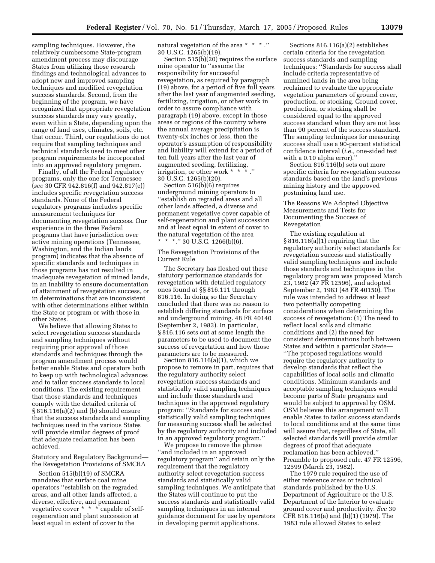sampling techniques. However, the relatively cumbersome State-program amendment process may discourage States from utilizing those research findings and technological advances to adopt new and improved sampling techniques and modified revegetation success standards. Second, from the beginning of the program, we have recognized that appropriate revegetation success standards may vary greatly, even within a State, depending upon the range of land uses, climates, soils, etc. that occur. Third, our regulations do not require that sampling techniques and technical standards used to meet other program requirements be incorporated into an approved regulatory program.

Finally, of all the Federal regulatory programs, only the one for Tennessee (*see* 30 CFR 942.816(f) and 942.817(e)) includes specific revegetation success standards. None of the Federal regulatory programs includes specific measurement techniques for documenting revegetation success. Our experience in the three Federal programs that have jurisdiction over active mining operations (Tennessee, Washington, and the Indian lands program) indicates that the absence of specific standards and techniques in those programs has not resulted in inadequate revegetation of mined lands, in an inability to ensure documentation of attainment of revegetation success, or in determinations that are inconsistent with other determinations either within the State or program or with those in other States.

We believe that allowing States to select revegetation success standards and sampling techniques without requiring prior approval of those standards and techniques through the program amendment process would better enable States and operators both to keep up with technological advances and to tailor success standards to local conditions. The existing requirement that those standards and techniques comply with the detailed criteria of § 816.116(a)(2) and (b) should ensure that the success standards and sampling techniques used in the various States will provide similar degrees of proof that adequate reclamation has been achieved.

Statutory and Regulatory Background the Revegetation Provisions of SMCRA

Section 515(b)(19) of SMCRA mandates that surface coal mine operators ''establish on the regraded areas, and all other lands affected, a diverse, effective, and permanent vegetative cover \* \* \* capable of selfregeneration and plant succession at least equal in extent of cover to the

natural vegetation of the area \* \* \* .'' 30 U.S.C. 1265(b)(19).

Section 515(b)(20) requires the surface mine operator to ''assume the responsibility for successful revegetation, as required by paragraph (19) above, for a period of five full years after the last year of augmented seeding, fertilizing, irrigation, or other work in order to assure compliance with paragraph (19) above, except in those areas or regions of the country where the annual average precipitation is twenty-six inches or less, then the operator's assumption of responsibility and liability will extend for a period of ten full years after the last year of ten iun years and ... irrigation, or other work \* \* 30 U.S.C. 1265(b)(20).

Section 516(b)(6) requires underground mining operators to ''establish on regraded areas and all other lands affected, a diverse and permanent vegetative cover capable of self-regeneration and plant succession and at least equal in extent of cover to the natural vegetation of the area \* \* \*.'' 30 U.S.C. 1266(b)(6).

#### The Revegetation Provisions of the Current Rule

The Secretary has fleshed out these statutory performance standards for revegetation with detailed regulatory ones found at §§ 816.111 through 816.116. In doing so the Secretary concluded that there was no reason to establish differing standards for surface and underground mining. 48 FR 40140 (September 2, 1983). In particular, § 816.116 sets out at some length the parameters to be used to document the success of revegetation and how those parameters are to be measured.

Section 816.116(a)(1), which we propose to remove in part, requires that the regulatory authority select revegetation success standards and statistically valid sampling techniques and include those standards and techniques in the approved regulatory program: ''Standards for success and statistically valid sampling techniques for measuring success shall be selected by the regulatory authority and included in an approved regulatory program.''

We propose to remove the phrase ''and included in an approved regulatory program'' and retain only the requirement that the regulatory authority select revegetation success standards and statistically valid sampling techniques. We anticipate that the States will continue to put the success standards and statistically valid sampling techniques in an internal guidance document for use by operators in developing permit applications.

Sections 816.116(a)(2) establishes certain criteria for the revegetation success standards and sampling techniques: ''Standards for success shall include criteria representative of unmined lands in the area being reclaimed to evaluate the appropriate vegetation parameters of ground cover, production, or stocking. Ground cover, production, or stocking shall be considered equal to the approved success standard when they are not less than 90 percent of the success standard. The sampling techniques for measuring success shall use a 90-percent statistical confidence interval (*i.e.,* one-sided test with a 0.10 alpha error).''

Section 816.116(b) sets out more specific criteria for revegetation success standards based on the land's previous mining history and the approved postmining land use.

# The Reasons We Adopted Objective Measurements and Tests for Documenting the Success of Revegetation

The existing regulation at § 816.116(a)(1) requiring that the regulatory authority select standards for revegetation success and statistically valid sampling techniques and include those standards and techniques in the regulatory program was proposed March 23, 1982 (47 FR 12596), and adopted September 2, 1983 (48 FR 40150). The rule was intended to address at least two potentially competing considerations when determining the success of revegetation: (1) The need to reflect local soils and climatic conditions and (2) the need for consistent determinations both between States and within a particular State— ''The proposed regulations would require the regulatory authority to develop standards that reflect the capabilities of local soils and climatic conditions. Minimum standards and acceptable sampling techniques would become parts of State programs and would be subject to approval by OSM. OSM believes this arrangement will enable States to tailor success standards to local conditions and at the same time will assure that, regardless of State, all selected standards will provide similar degrees of proof that adequate reclamation has been achieved.'' Preamble to proposed rule. 47 FR 12596, 12599 (March 23, 1982).

The 1979 rule required the use of either reference areas or technical standards published by the U.S. Department of Agriculture or the U.S. Department of the Interior to evaluate ground cover and productivity. *See* 30 CFR 816.116(a) and (b)(1) (1979). The 1983 rule allowed States to select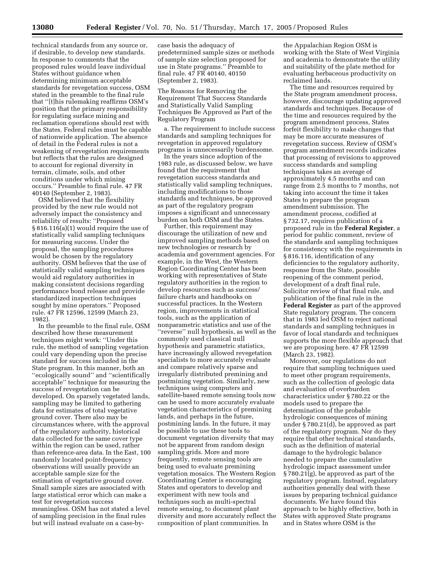technical standards from any source or, if desirable, to develop new standards. In response to comments that the proposed rules would leave individual States without guidance when determining minimum acceptable standards for revegetation success, OSM stated in the preamble to the final rule that ''[t]his rulemaking reaffirms OSM's position that the primary responsibility for regulating surface mining and reclamation operations should rest with the States. Federal rules must be capable of nationwide application. The absence of detail in the Federal rules is not a weakening of revegetation requirements but reflects that the rules are designed to account for regional diversity in terrain, climate, soils, and other conditions under which mining occurs.'' Preamble to final rule. 47 FR 40140 (September 2, 1983).

OSM believed that the flexibility provided by the new rule would not adversely impact the consistency and reliability of results: ''Proposed § 816.116(a)(1) would require the use of statistically valid sampling techniques for measuring success. Under the proposal, the sampling procedures would be chosen by the regulatory authority. OSM believes that the use of statistically valid sampling techniques would aid regulatory authorities in making consistent decisions regarding performance bond release and provide standardized inspection techniques sought by mine operators.'' Proposed rule. 47 FR 12596, 12599 (March 23, 1982).

In the preamble to the final rule, OSM described how these measurement techniques might work: ''Under this rule, the method of sampling vegetation could vary depending upon the precise standard for success included in the State program. In this manner, both an ''ecologically sound'' and ''scientifically acceptable'' technique for measuring the success of revegetation can be developed. On sparsely vegetated lands, sampling may be limited to gathering data for estimates of total vegetative ground cover. There also may be circumstances where, with the approval of the regulatory authority, historical data collected for the same cover type within the region can be used, rather than reference-area data. In the East, 100 randomly located point-frequency observations will usually provide an acceptable sample size for the estimation of vegetative ground cover. Small sample sizes are associated with large statistical error which can make a test for revegetation success meaningless. OSM has not stated a level of sampling precision in the final rules but will instead evaluate on a case-bycase basis the adequacy of predetermined sample sizes or methods of sample size selection proposed for use in State programs.'' Preamble to final rule. 47 FR 40140, 40150 (September 2, 1983).

The Reasons for Removing the Requirement That Success Standards and Statistically Valid Sampling Techniques Be Approved as Part of the Regulatory Program

a. The requirement to include success standards and sampling techniques for revegetation in approved regulatory programs is unnecessarily burdensome.

In the years since adoption of the 1983 rule, as discussed below, we have found that the requirement that revegetation success standards and statistically valid sampling techniques, including modifications to those standards and techniques, be approved as part of the regulatory program imposes a significant and unnecessary burden on both OSM and the States.

Further, this requirement may discourage the utilization of new and improved sampling methods based on new technologies or research by academia and government agencies. For example, in the West, the Western Region Coordinating Center has been working with representatives of State regulatory authorities in the region to develop resources such as success/ failure charts and handbooks on successful practices. In the Western region, improvements in statistical tools, such as the application of nonparametric statistics and use of the ''reverse'' null hypothesis, as well as the commonly used classical null hypothesis and parametric statistics, have increasingly allowed revegetation specialists to more accurately evaluate and compare relatively sparse and irregularly distributed premining and postmining vegetation. Similarly, new techniques using computers and satellite-based remote sensing tools now can be used to more accurately evaluate vegetation characteristics of premining lands, and perhaps in the future, postmining lands. In the future, it may be possible to use these tools to document vegetation diversity that may not be apparent from random design sampling grids. More and more frequently, remote sensing tools are being used to evaluate premining vegetation mosaics. The Western Region Coordinating Center is encouraging States and operators to develop and experiment with new tools and techniques such as multi-spectral remote sensing, to document plant diversity and more accurately reflect the composition of plant communities. In

the Appalachian Region OSM is working with the State of West Virginia and academia to demonstrate the utility and suitability of the plate method for evaluating herbaceous productivity on reclaimed lands.

The time and resources required by the State program amendment process, however, discourage updating approved standards and techniques. Because of the time and resources required by the program amendment process, States forfeit flexibility to make changes that may be more accurate measures of revegetation success. Review of OSM's program amendment records indicates that processing of revisions to approved success standards and sampling techniques takes an average of approximately 4.5 months and can range from 2.5 months to 7 months, not taking into account the time it takes States to prepare the program amendment submission. The amendment process, codified at § 732.17, requires publication of a proposed rule in the **Federal Register**, a period for public comment, review of the standards and sampling techniques for consistency with the requirements in § 816.116, identification of any deficiencies to the regulatory authority, response from the State, possible reopening of the comment period, development of a draft final rule, Solicitor review of that final rule, and publication of the final rule in the **Federal Register** as part of the approved State regulatory program. The concern that in 1983 led OSM to reject national standards and sampling techniques in favor of local standards and techniques supports the more flexible approach that we are proposing here. 47 FR 12599 (March 23, 1982).

Moreover, our regulations do not require that sampling techniques used to meet other program requirements, such as the collection of geologic data and evaluation of overburden characteristics under § 780.22 or the models used to prepare the determination of the probable hydrologic consequences of mining under § 780.21(d), be approved as part of the regulatory program. Nor do they require that other technical standards, such as the definition of material damage to the hydrologic balance needed to prepare the cumulative hydrologic impact assessment under § 780.21(g), be approved as part of the regulatory program. Instead, regulatory authorities generally deal with these issues by preparing technical guidance documents. We have found this approach to be highly effective, both in States with approved State programs and in States where OSM is the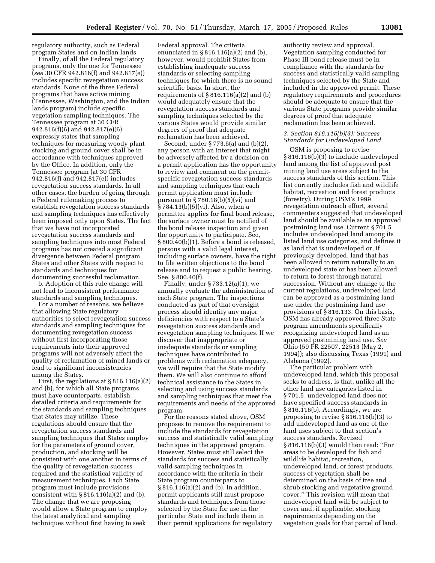regulatory authority, such as Federal program States and on Indian lands.

Finally, of all the Federal regulatory programs, only the one for Tennessee (*see* 30 CFR 942.816(f) and 942.817(e)) includes specific revegetation success standards. None of the three Federal programs that have active mining (Tennessee, Washington, and the Indian lands program) include specific vegetation sampling techniques. The Tennessee program at 30 CFR 942.816(f)(6) and 942.817(e)(6) expressly states that sampling techniques for measuring woody plant stocking and ground cover shall be in accordance with techniques approved by the Office. In addition, only the Tennessee program (at 30 CFR 942.816(f) and 942.817(e)) includes revegetation success standards. In all other cases, the burden of going through a Federal rulemaking process to establish revegetation success standards and sampling techniques has effectively been imposed only upon States. The fact that we have not incorporated revegetation success standards and sampling techniques into most Federal programs has not created a significant divergence between Federal program States and other States with respect to standards and techniques for documenting successful reclamation.

b. Adoption of this rule change will not lead to inconsistent performance standards and sampling techniques.

For a number of reasons, we believe that allowing State regulatory authorities to select revegetation success standards and sampling techniques for documenting revegetation success without first incorporating those requirements into their approved programs will not adversely affect the quality of reclamation of mined lands or lead to significant inconsistencies among the States.

First, the regulations at § 816.116(a)(2) and (b), for which all State programs must have counterparts, establish detailed criteria and requirements for the standards and sampling techniques that States may utilize. These regulations should ensure that the revegetation success standards and sampling techniques that States employ for the parameters of ground cover, production, and stocking will be consistent with one another in terms of the quality of revegetation success required and the statistical validity of measurement techniques. Each State program must include provisions consistent with  $\S 816.116(a)(2)$  and (b). The change that we are proposing would allow a State program to employ the latest analytical and sampling techniques without first having to seek

Federal approval. The criteria enunciated in § 816.116(a)(2) and (b), however, would prohibit States from establishing inadequate success standards or selecting sampling techniques for which there is no sound scientific basis. In short, the requirements of  $\S 816.116(a)(2)$  and (b) would adequately ensure that the revegetation success standards and sampling techniques selected by the various States would provide similar degrees of proof that adequate reclamation has been achieved.

Second, under § 773.6(a) and (b)(2), any person with an interest that might be adversely affected by a decision on a permit application has the opportunity to review and comment on the permitspecific revegetation success standards and sampling techniques that each permit application must include pursuant to  $\S 780.18(b)(5)(vi)$  and § 784.13(b)(5)(vi). Also, when a permittee applies for final bond release, the surface owner must be notified of the bond release inspection and given the opportunity to participate. See, § 800.40(b)(1). Before a bond is released, persons with a valid legal interest, including surface owners, have the right to file written objections to the bond release and to request a public hearing. See, § 800.40(f).

Finally, under § 733.12(a)(1), we annually evaluate the administration of each State program. The inspections conducted as part of that oversight process should identify any major deficiencies with respect to a State's revegetation success standards and revegetation sampling techniques. If we discover that inappropriate or inadequate standards or sampling techniques have contributed to problems with reclamation adequacy, we will require that the State modify them. We will also continue to afford technical assistance to the States in selecting and using success standards and sampling techniques that meet the requirements and needs of the approved program.

For the reasons stated above, OSM proposes to remove the requirement to include the standards for revegetation success and statistically valid sampling techniques in the approved program. However, States must still select the standards for success and statistically valid sampling techniques in accordance with the criteria in their State program counterparts to § 816.116(a)(2) and (b). In addition, permit applicants still must propose standards and techniques from those selected by the State for use in the particular State and include them in their permit applications for regulatory

authority review and approval. Vegetation sampling conducted for Phase III bond release must be in compliance with the standards for success and statistically valid sampling techniques selected by the State and included in the approved permit. These regulatory requirements and procedures should be adequate to ensure that the various State programs provide similar degrees of proof that adequate reclamation has been achieved.

#### *3. Section 816.116(b)(3): Success Standards for Undeveloped Land*

OSM is proposing to revise § 816.116(b)(3) to include undeveloped land among the list of approved post mining land use areas subject to the success standards of this section. This list currently includes fish and wildlife habitat, recreation and forest products (forestry). During OSM's 1999 revegetation outreach effort, several commenters suggested that undeveloped land should be available as an approved postmining land use. Current § 701.5 includes undeveloped land among its listed land use categories, and defines it as land that is undeveloped or, if previously developed, land that has been allowed to return naturally to an undeveloped state or has been allowed to return to forest through natural succession. Without any change to the current regulations, undeveloped land can be approved as a postmining land use under the postmining land use provisions of § 816.133. On this basis, OSM has already approved three State program amendments specifically recognizing undeveloped land as an approved postmining land use. *See* Ohio (59 FR 22507, 22513 (May 2, 1994)); also discussing Texas (1991) and Alabama (1992).

The particular problem with undeveloped land, which this proposal seeks to address, is that, unlike all the other land use categories listed in § 701.5, undeveloped land does not have specified success standards in § 816.116(b). Accordingly, we are proposing to revise § 816.116(b)(3) to add undeveloped land as one of the land uses subject to that section's success standards. Revised § 816.116(b)(3) would then read: ''For areas to be developed for fish and wildlife habitat, recreation, undeveloped land, or forest products, success of vegetation shall be determined on the basis of tree and shrub stocking and vegetative ground cover.'' This revision will mean that undeveloped land will be subject to cover and, if applicable, stocking requirements depending on the vegetation goals for that parcel of land.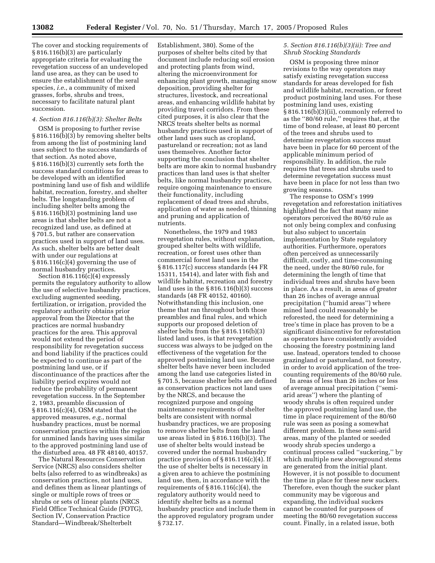The cover and stocking requirements of § 816.116(b)(3) are particularly appropriate criteria for evaluating the revegetation success of an undeveloped land use area, as they can be used to ensure the establishment of the seral species, *i.e.*, a community of mixed grasses, forbs, shrubs and trees, necessary to facilitate natural plant succession.

#### *4. Section 816.116(b)(3): Shelter Belts*

OSM is proposing to further revise § 816.116(b)(3) by removing shelter belts from among the list of postmining land uses subject to the success standards of that section. As noted above, § 816.116(b)(3) currently sets forth the success standard conditions for areas to be developed with an identified postmining land use of fish and wildlife habitat, recreation, forestry, and shelter belts. The longstanding problem of including shelter belts among the § 816.116(b)(3) postmining land use areas is that shelter belts are not a recognized land use, as defined at § 701.5, but rather are conservation practices used in support of land uses. As such, shelter belts are better dealt with under our regulations at § 816.116(c)(4) governing the use of normal husbandry practices.

Section  $816.116(c)(4)$  expressly permits the regulatory authority to allow the use of selective husbandry practices, excluding augmented seeding, fertilization, or irrigation, provided the regulatory authority obtains prior approval from the Director that the practices are normal husbandry practices for the area. This approval would not extend the period of responsibility for revegetation success and bond liability if the practices could be expected to continue as part of the postmining land use, or if discontinuance of the practices after the liability period expires would not reduce the probability of permanent revegetation success. In the September 2, 1983, preamble discussion of § 816.116(c)(4), OSM stated that the approved measures, *e.g.*, normal husbandry practices, must be normal conservation practices within the region for unmined lands having uses similar to the approved postmining land use of the disturbed area. 48 FR 48140, 40157.

The Natural Resources Conservation Service (NRCS) also considers shelter belts (also referred to as windbreaks) as conservation practices, not land uses, and defines them as linear plantings of single or multiple rows of trees or shrubs or sets of linear plants (NRCS Field Office Technical Guide (FOTG), Section IV, Conservation Practice Standard—Windbreak/Shelterbelt

Establishment, 380). Some of the purposes of shelter belts cited by that document include reducing soil erosion and protecting plants from wind, altering the microenvironment for enhancing plant growth, managing snow deposition, providing shelter for structures, livestock, and recreational areas, and enhancing wildlife habitat by providing travel corridors. From these cited purposes, it is also clear that the NRCS treats shelter belts as normal husbandry practices used in support of other land uses such as cropland, pastureland or recreation; not as land uses themselves. Another factor supporting the conclusion that shelter belts are more akin to normal husbandry practices than land uses is that shelter belts, like normal husbandry practices, require ongoing maintenance to ensure their functionality, including replacement of dead trees and shrubs, application of water as needed, thinning and pruning and application of nutrients.

Nonetheless, the 1979 and 1983 revegetation rules, without explanation, grouped shelter belts with wildlife, recreation, or forest uses other than commercial forest land uses in the § 816.117(c) success standards (44 FR 15311, 15414), and later with fish and wildlife habitat, recreation and forestry land uses in the § 816.116(b)(3) success standards (48 FR 40152, 40160). Notwithstanding this inclusion, one theme that ran throughout both those preambles and final rules, and which supports our proposed deletion of shelter belts from the § 816.116(b)(3) listed land uses, is that revegetation success was always to be judged on the effectiveness of the vegetation for the approved postmining land use. Because shelter belts have never been included among the land use categories listed in § 701.5, because shelter belts are defined as conservation practices not land uses by the NRCS, and because the recognized purpose and ongoing maintenance requirements of shelter belts are consistent with normal husbandry practices, we are proposing to remove shelter belts from the land use areas listed in § 816.116(b)(3). The use of shelter belts would instead be covered under the normal husbandry practice provision of § 816.116(c)(4). If the use of shelter belts is necessary in a given area to achieve the postmining land use, then, in accordance with the requirements of  $\S 816.116(c)(4)$ , the regulatory authority would need to identify shelter belts as a normal husbandry practice and include them in the approved regulatory program under § 732.17.

# *5. Section 816.116(b)(3)(ii): Tree and Shrub Stocking Standards*

OSM is proposing three minor revisions to the way operators may satisfy existing revegetation success standards for areas developed for fish and wildlife habitat, recreation, or forest product postmining land uses. For these postmining land uses, existing § 816.116(b)(3)(ii), commonly referred to as the ''80/60 rule,'' requires that, at the time of bond release, at least 80 percent of the trees and shrubs used to determine revegetation success must have been in place for 60 percent of the applicable minimum period of responsibility. In addition, the rule requires that trees and shrubs used to determine revegetation success must have been in place for not less than two growing seasons.

The response to OSM's 1999 revegetation and reforestation initiatives highlighted the fact that many mine operators perceived the 80/60 rule as not only being complex and confusing but also subject to uncertain implementation by State regulatory authorities. Furthermore, operators often perceived as unnecessarily difficult, costly, and time-consuming the need, under the 80/60 rule, for determining the length of time that individual trees and shrubs have been in place. As a result, in areas of greater than 26 inches of average annual precipitation (''humid areas'') where mined land could reasonably be reforested, the need for determining a tree's time in place has proven to be a significant disincentive for reforestation as operators have consistently avoided choosing the forestry postmining land use. Instead, operators tended to choose grazingland or pastureland, not forestry, in order to avoid application of the treecounting requirements of the 80/60 rule.

In areas of less than 26 inches or less of average annual precipitation (''semiarid areas'') where the planting of woody shrubs is often required under the approved postmining land use, the time in place requirement of the 80/60 rule was seen as posing a somewhat different problem. In these semi-arid areas, many of the planted or seeded woody shrub species undergo a continual process called ''suckering,'' by which multiple new aboveground stems are generated from the initial plant. However, it is not possible to document the time in place for these new suckers. Therefore, even though the sucker plant community may be vigorous and expanding, the individual suckers cannot be counted for purposes of meeting the 80/60 revegetation success count. Finally, in a related issue, both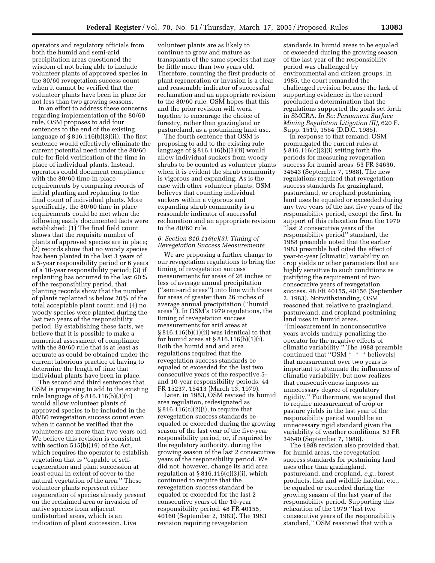operators and regulatory officials from both the humid and semi-arid precipitation areas questioned the wisdom of not being able to include volunteer plants of approved species in the 80/60 revegetation success count when it cannot be verified that the volunteer plants have been in place for not less than two growing seasons.

In an effort to address these concerns regarding implementation of the 80/60 rule, OSM proposes to add four sentences to the end of the existing language of  $\S 816.116(b)(3)(ii)$ . The first sentence would effectively eliminate the current potential need under the 80/60 rule for field verification of the time in place of individual plants. Instead, operators could document compliance with the 80/60 time-in-place requirements by comparing records of initial planting and replanting to the final count of individual plants. More specifically, the 80/60 time in place requirements could be met when the following easily documented facts were established: (1) The final field count shows that the requisite number of plants of approved species are in place; (2) records show that no woody species has been planted in the last 3 years of a 5-year responsibility period or 6 years of a 10-year responsibility period; (3) if replanting has occurred in the last 60% of the responsibility period, that planting records show that the number of plants replanted is below 20% of the total acceptable plant count; and (4) no woody species were planted during the last two years of the responsibility period. By establishing these facts, we believe that it is possible to make a numerical assessment of compliance with the 80/60 rule that is at least as accurate as could be obtained under the current laborious practice of having to determine the length of time that individual plants have been in place.

The second and third sentences that OSM is proposing to add to the existing rule language of  $\S 816.116(b)(3)(ii)$ would allow volunteer plants of approved species to be included in the 80/60 revegetation success count even when it cannot be verified that the volunteers are more than two years old. We believe this revision is consistent with section 515(b)(19) of the Act, which requires the operator to establish vegetation that is ''capable of selfregeneration and plant succession at least equal in extent of cover to the natural vegetation of the area.'' These volunteer plants represent either regeneration of species already present on the reclaimed area or invasion of native species from adjacent undisturbed areas, which is an indication of plant succession. Live

volunteer plants are as likely to continue to grow and mature as transplants of the same species that may be little more than two years old. Therefore, counting the first products of plant regeneration or invasion is a clear and reasonable indicator of successful reclamation and an appropriate revision to the 80/60 rule. OSM hopes that this and the prior revision will work together to encourage the choice of forestry, rather than grazingland or pastureland, as a postmining land use.

The fourth sentence that OSM is proposing to add to the existing rule language of § 816.116(b)(3)(ii) would allow individual suckers from woody shrubs to be counted as volunteer plants when it is evident the shrub community is vigorous and expanding. As is the case with other volunteer plants, OSM believes that counting individual suckers within a vigorous and expanding shrub community is a reasonable indicator of successful reclamation and an appropriate revision to the 80/60 rule.

#### *6. Section 816.116(c)(3): Timing of Revegetation Success Measurements*

We are proposing a further change to our revegetation regulations to bring the timing of revegetation success measurements for areas of 26 inches or less of average annual precipitation (''semi-arid areas'') into line with those for areas of greater than 26 inches of average annual precipitation (''humid areas''). In OSM's 1979 regulations, the timing of revegetation success measurements for arid areas at § 816.116(b)(1)(ii) was identical to that for humid areas at § 816.116(b)(1)(i). Both the humid and arid area regulations required that the revegetation success standards be equaled or exceeded for the last two consecutive years of the respective 5 and 10-year responsibility periods. 44 FR 15237, 15413 (March 13, 1979).

Later, in 1983, OSM revised its humid area regulation, redesignated as § 816.116(c)(2)(i), to require that revegetation success standards be equaled or exceeded during the growing season of the last year of the five-year responsibility period, or, if required by the regulatory authority, during the growing season of the last 2 consecutive years of the responsibility period. We did not, however, change its arid area regulation at  $\S 816.116(c)(3)(i)$ , which continued to require that the revegetation success standard be equaled or exceeded for the last 2 consecutive years of the 10-year responsibility period. 48 FR 40155, 40160 (September 2, 1983). The 1983 revision requiring revegetation

standards in humid areas to be equaled or exceeded during the growing season of the last year of the responsibility period was challenged by environmental and citizen groups. In 1985, the court remanded the challenged revision because the lack of supporting evidence in the record precluded a determination that the regulations supported the goals set forth in SMCRA. *In Re: Permanent Surface Mining Regulation Litigation (II)*, 620 F. Supp. 1519, 1564 (D.D.C. 1985).

In response to that remand, OSM promulgated the current rules at § 816.116(c)(2)(i) setting forth the periods for measuring revegetation success for humid areas. 53 FR 34636, 34643 (September 7, 1988). The new regulations required that revegetation success standards for grazingland, pastureland, or cropland postmining land uses be equaled or exceeded during any two years of the last five years of the responsibility period, except the first. In support of this relaxation from the 1979 ''last 2 consecutive years of the responsibility period'' standard, the 1988 preamble noted that the earlier 1983 preamble had cited the effect of year-to-year [climatic] variability on crop yields or other parameters that are highly sensitive to such conditions as justifying the requirement of two consecutive years of revegetation success. 48 FR 40155, 40156 (September 2, 1983). Notwithstanding, OSM reasoned that, relative to grazingland, pastureland, and cropland postmining land uses in humid areas, ''[m]easurement in nonconsecutive years avoids unduly penalizing the operator for the negative effects of

climatic variability.'' The 1988 preamble continued that "OSM  $*$   $*$   $*$  believe[s] that measurement over two years is important to attenuate the influences of climatic variability, but now realizes that consecutiveness imposes an unnecessary degree of regulatory rigidity.'' Furthermore, we argued that to require measurement of crop or pasture yields in the last year of the responsibility period would be an unnecessary rigid standard given the variability of weather conditions. 53 FR 34640 (September 7, 1988).

The 1988 revision also provided that, for humid areas, the revegetation success standards for postmining land uses other than grazingland, pastureland, and cropland, *e.g.*, forest products, fish and wildlife habitat, etc., be equaled or exceeded during the growing season of the last year of the responsibility period. Supporting this relaxation of the 1979 ''last two consecutive years of the responsibility standard,'' OSM reasoned that with a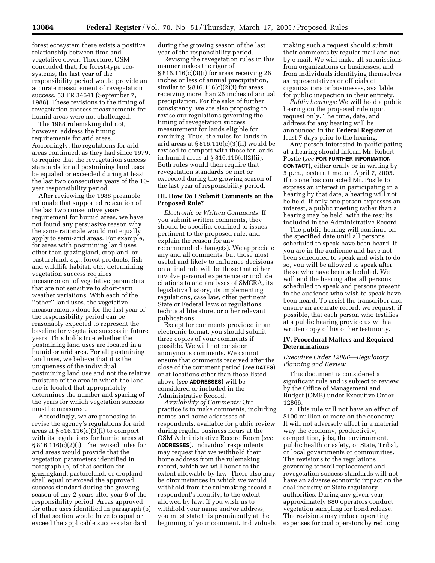forest ecosystem there exists a positive relationship between time and vegetative cover. Therefore, OSM concluded that, for forest-type ecosystems, the last year of the responsibility period would provide an accurate measurement of revegetation success. 53 FR 34641 (September 7, 1988). These revisions to the timing of revegetation success measurements for humid areas were not challenged.

The 1988 rulemaking did not, however, address the timing requirements for arid areas. Accordingly, the regulations for arid areas continued, as they had since 1979, to require that the revegetation success standards for all postmining land uses be equaled or exceeded during at least the last two consecutive years of the 10 year responsibility period.

After reviewing the 1988 preamble rationale that supported relaxation of the last two consecutive years requirement for humid areas, we have not found any persuasive reason why the same rationale would not equally apply to semi-arid areas. For example, for areas with postmining land uses other than grazingland, cropland, or pastureland, *e.g.*, forest products, fish and wildlife habitat, etc., determining vegetation success requires measurement of vegetative parameters that are not sensitive to short-term weather variations. With each of the ''other'' land uses, the vegetative measurements done for the last year of the responsibility period can be reasonably expected to represent the baseline for vegetative success in future years. This holds true whether the postmining land uses are located in a humid or arid area. For all postmining land uses, we believe that it is the uniqueness of the individual postmining land use and not the relative moisture of the area in which the land use is located that appropriately determines the number and spacing of the years for which vegetation success must be measured.

Accordingly, we are proposing to revise the agency's regulations for arid areas at  $\S 816.116(c)(3)(i)$  to comport with its regulations for humid areas at § 816.116(c)(2)(i). The revised rules for arid areas would provide that the vegetation parameters identified in paragraph (b) of that section for grazingland, pastureland, or cropland shall equal or exceed the approved success standard during the growing season of any 2 years after year 6 of the responsibility period. Areas approved for other uses identified in paragraph (b) of that section would have to equal or exceed the applicable success standard

during the growing season of the last year of the responsibility period.

Revising the revegetation rules in this manner makes the rigor of § 816.116(c)(3)(i) for areas receiving 26 inches or less of annual precipitation, similar to  $\S 816.116(c)(2)(i)$  for areas receiving more than 26 inches of annual precipitation. For the sake of further consistency, we are also proposing to revise our regulations governing the timing of revegetation success measurement for lands eligible for remining. Thus, the rules for lands in arid areas at § 816.116(c)(3)(ii) would be revised to comport with those for lands in humid areas at § 816.116(c)(2)(ii). Both rules would then require that revegetation standards be met or exceeded during the growing season of the last year of responsibility period.

#### **III. How Do I Submit Comments on the Proposed Rule?**

*Electronic or Written Comments:* If you submit written comments, they should be specific, confined to issues pertinent to the proposed rule, and explain the reason for any recommended change(s). We appreciate any and all comments, but those most useful and likely to influence decisions on a final rule will be those that either involve personal experience or include citations to and analyses of SMCRA, its legislative history, its implementing regulations, case law, other pertinent State or Federal laws or regulations, technical literature, or other relevant publications.

Except for comments provided in an electronic format, you should submit three copies of your comments if possible. We will not consider anonymous comments. We cannot ensure that comments received after the close of the comment period (*see* **DATES**) or at locations other than those listed above (*see* **ADDRESSES**) will be considered or included in the Administrative Record.

*Availability of Comments:* Our practice is to make comments, including names and home addresses of respondents, available for public review during regular business hours at the OSM Administrative Record Room (*see* **ADDRESSES**). Individual respondents may request that we withhold their home address from the rulemaking record, which we will honor to the extent allowable by law. There also may be circumstances in which we would withhold from the rulemaking record a respondent's identity, to the extent allowed by law. If you wish us to withhold your name and/or address, you must state this prominently at the beginning of your comment. Individuals

making such a request should submit their comments by regular mail and not by e-mail. We will make all submissions from organizations or businesses, and from individuals identifying themselves as representatives or officials of organizations or businesses, available for public inspection in their entirety.

*Public hearings:* We will hold a public hearing on the proposed rule upon request only. The time, date, and address for any hearing will be announced in the **Federal Register** at least 7 days prior to the hearing.

Any person interested in participating at a hearing should inform Mr. Robert Postle (*see* **FOR FURTHER INFORMATION CONTACT**), either orally or in writing by 5 p.m., eastern time, on April 7, 2005. If no one has contacted Mr. Postle to express an interest in participating in a hearing by that date, a hearing will not be held. If only one person expresses an interest, a public meeting rather than a hearing may be held, with the results included in the Administrative Record.

The public hearing will continue on the specified date until all persons scheduled to speak have been heard. If you are in the audience and have not been scheduled to speak and wish to do so, you will be allowed to speak after those who have been scheduled. We will end the hearing after all persons scheduled to speak and persons present in the audience who wish to speak have been heard. To assist the transcriber and ensure an accurate record, we request, if possible, that each person who testifies at a public hearing provide us with a written copy of his or her testimony.

#### **IV. Procedural Matters and Required Determinations**

# *Executive Order 12866—Regulatory Planning and Review*

This document is considered a significant rule and is subject to review by the Office of Management and Budget (OMB) under Executive Order 12866.

a. This rule will not have an effect of \$100 million or more on the economy. It will not adversely affect in a material way the economy, productivity, competition, jobs, the environment, public health or safety, or State, Tribal, or local governments or communities. The revisions to the regulations governing topsoil replacement and revegetation success standards will not have an adverse economic impact on the coal industry or State regulatory authorities. During any given year, approximately 880 operators conduct vegetation sampling for bond release. The revisions may reduce operating expenses for coal operators by reducing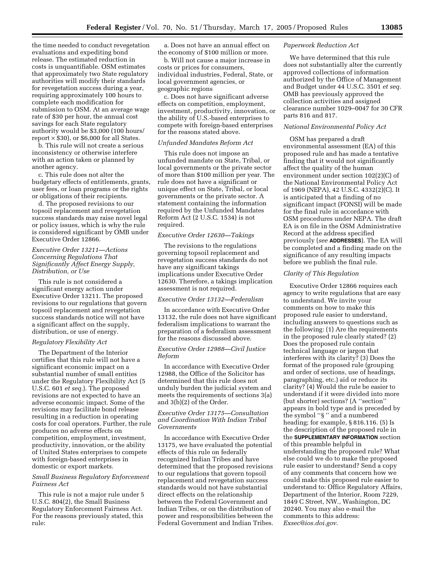the time needed to conduct revegetation evaluations and expediting bond release. The estimated reduction in costs is unquantifiable. OSM estimates that approximately two State regulatory authorities will modify their standards for revegetation success during a year, requiring approximately 100 hours to complete each modification for submission to OSM. At an average wage rate of \$30 per hour, the annual cost savings for each State regulatory authority would be \$3,000 (100 hours/ report  $\times$  \$30), or \$6,000 for all States.

b. This rule will not create a serious inconsistency or otherwise interfere with an action taken or planned by another agency.

c. This rule does not alter the budgetary effects of entitlements, grants, user fees, or loan programs or the rights or obligations of their recipients.

d. The proposed revisions to our topsoil replacement and revegetation success standards may raise novel legal or policy issues, which is why the rule is considered significant by OMB under Executive Order 12866.

# *Executive Order 13211—Actions Concerning Regulations That Significantly Affect Energy Supply, Distribution, or Use*

This rule is not considered a significant energy action under Executive Order 13211. The proposed revisions to our regulations that govern topsoil replacement and revegetation success standards notice will not have a significant affect on the supply, distribution, or use of energy.

#### *Regulatory Flexibility Act*

The Department of the Interior certifies that this rule will not have a significant economic impact on a substantial number of small entities under the Regulatory Flexibility Act (5 U.S.C. 601 *et seq.*). The proposed revisions are not expected to have an adverse economic impact. Some of the revisions may facilitate bond release resulting in a reduction in operating costs for coal operators. Further, the rule produces no adverse effects on competition, employment, investment, productivity, innovation, or the ability of United States enterprises to compete with foreign-based enterprises in domestic or export markets.

## *Small Business Regulatory Enforcement Fairness Act*

This rule is not a major rule under 5 U.S.C. 804(2), the Small Business Regulatory Enforcement Fairness Act. For the reasons previously stated, this rule:

a. Does not have an annual effect on the economy of \$100 million or more.

b. Will not cause a major increase in costs or prices for consumers, individual industries, Federal, State, or local government agencies, or geographic regions

c. Does not have significant adverse effects on competition, employment, investment, productivity, innovation, or the ability of U.S.-based enterprises to compete with foreign-based enterprises for the reasons stated above.

#### *Unfunded Mandates Reform Act*

This rule does not impose an unfunded mandate on State, Tribal, or local governments or the private sector of more than \$100 million per year. The rule does not have a significant or unique effect on State, Tribal, or local governments or the private sector. A statement containing the information required by the Unfunded Mandates Reform Act (2 U.S.C. 1534) is not required.

#### *Executive Order 12630—Takings*

The revisions to the regulations governing topsoil replacement and revegetation success standards do not have any significant takings implications under Executive Order 12630. Therefore, a takings implication assessment is not required.

#### *Executive Order 13132—Federalism*

In accordance with Executive Order 13132, the rule does not have significant federalism implications to warrant the preparation of a federalism assessment for the reasons discussed above.

#### *Executive Order 12988—Civil Justice Reform*

In accordance with Executive Order 12988, the Office of the Solicitor has determined that this rule does not unduly burden the judicial system and meets the requirements of sections 3(a) and 3(b)(2) of the Order.

### *Executive Order 13175—Consultation and Coordination With Indian Tribal Governments*

In accordance with Executive Order 13175, we have evaluated the potential effects of this rule on federally recognized Indian Tribes and have determined that the proposed revisions to our regulations that govern topsoil replacement and revegetation success standards would not have substantial direct effects on the relationship between the Federal Government and Indian Tribes, or on the distribution of power and responsibilities between the Federal Government and Indian Tribes.

#### *Paperwork Reduction Act*

We have determined that this rule does not substantially alter the currently approved collections of information authorized by the Office of Management and Budget under 44 U.S.C. 3501 *et seq.* OMB has previously approved the collection activities and assigned clearance number 1029–0047 for 30 CFR parts 816 and 817.

#### *National Environmental Policy Act*

OSM has prepared a draft environmental assessment (EA) of this proposed rule and has made a tentative finding that it would not significantly affect the quality of the human environment under section 102(2)(C) of the National Environmental Policy Act of 1969 (NEPA), 42 U.S.C. 4332(2)(C). It is anticipated that a finding of no significant impact (FONSI) will be made for the final rule in accordance with OSM procedures under NEPA. The draft EA is on file in the OSM Administrative Record at the address specified previously (*see* **ADDRESSES**). The EA will be completed and a finding made on the significance of any resulting impacts before we publish the final rule.

#### *Clarity of This Regulation*

Executive Order 12866 requires each agency to write regulations that are easy to understand. We invite your comments on how to make this proposed rule easier to understand, including answers to questions such as the following: (1) Are the requirements in the proposed rule clearly stated? (2) Does the proposed rule contain technical language or jargon that interferes with its clarity? (3) Does the format of the proposed rule (grouping and order of sections, use of headings, paragraphing, etc.) aid or reduce its clarity? (4) Would the rule be easier to understand if it were divided into more (but shorter) sections? (A ''section'' appears in bold type and is preceded by the symbol ''§ '' and a numbered heading; for example, § 816.116. (5) Is the description of the proposed rule in the **SUPPLEMENTARY INFORMATION** section of this preamble helpful in understanding the proposed rule? What else could we do to make the proposed rule easier to understand? Send a copy of any comments that concern how we could make this proposed rule easier to understand to: Office Regulatory Affairs, Department of the Interior, Room 7229, 1849 C Street, NW., Washington, DC 20240. You may also e-mail the comments to this address: *Exsec@ios.doi.gov*.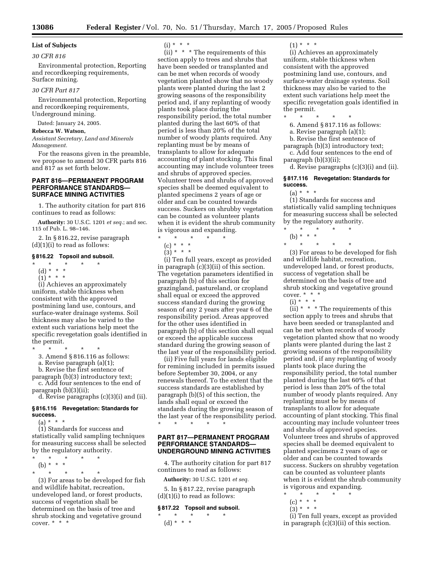# **List of Subjects**

# *30 CFR 816*

Environmental protection, Reporting and recordkeeping requirements, Surface mining.

#### *30 CFR Part 817*

Environmental protection, Reporting and recordkeeping requirements, Underground mining.

Dated: January 24, 2005.

#### **Rebecca W. Watson,**

*Assistant Secretary, Land and Minerals Management.*

For the reasons given in the preamble, we propose to amend 30 CFR parts 816 and 817 as set forth below.

# **PART 816—PERMANENT PROGRAM PERFORMANCE STANDARDS— SURFACE MINING ACTIVITIES**

1. The authority citation for part 816 continues to read as follows:

**Authority:** 30 U.S.C. 1201 *et seq.*; and sec. 115 of Pub. L. 98–146.

2. In § 816.22, revise paragraph  $(d)(1)(i)$  to read as follows:

#### **§ 816.22 Topsoil and subsoil.**

- \* \* \* \* \*
- (d) \* \* \*
- $(1) * * * *$

(i) Achieves an approximately uniform, stable thickness when consistent with the approved postmining land use, contours, and surface-water drainage systems. Soil thickness may also be varied to the extent such variations help meet the specific revegetation goals identified in the permit.

 $\star$ 

3. Amend § 816.116 as follows:

a. Revise paragraph (a)(1);

b. Revise the first sentence of

paragraph (b)(3) introductory text; c. Add four sentences to the end of

paragraph (b)(3)(ii);

d. Revise paragraphs (c)(3)(i) and (ii).

#### **§ 816.116 Revegetation: Standards for success.**

 $(a) * * * *$ 

(1) Standards for success and statistically valid sampling techniques for measuring success shall be selected by the regulatory authority.

- $\star$   $\qquad$   $\star$   $\qquad$   $\star$ (b) \* \* \*
- \* \* \* \* \*

(3) For areas to be developed for fish and wildlife habitat, recreation, undeveloped land, or forest products, success of vegetation shall be determined on the basis of tree and shrub stocking and vegetative ground cover. \* \* \*

 $(i) * * * *$ 

 $(i)$ <sup>\*</sup> \* \* The requirements of this section apply to trees and shrubs that have been seeded or transplanted and can be met when records of woody vegetation planted show that no woody plants were planted during the last 2 growing seasons of the responsibility period and, if any replanting of woody plants took place during the responsibility period, the total number planted during the last 60% of that period is less than 20% of the total number of woody plants required. Any replanting must be by means of transplants to allow for adequate accounting of plant stocking. This final accounting may include volunteer trees and shrubs of approved species. Volunteer trees and shrubs of approved species shall be deemed equivalent to planted specimens 2 years of age or older and can be counted towards success. Suckers on shrubby vegetation can be counted as volunteer plants when it is evident the shrub community is vigorous and expanding.

- $\star$   $\star$   $\star$
- $(c) * * * *$
- $(3) * * * *$

(i) Ten full years, except as provided in paragraph (c)(3)(ii) of this section. The vegetation parameters identified in paragraph (b) of this section for grazingland, pastureland, or cropland shall equal or exceed the approved success standard during the growing season of any 2 years after year 6 of the responsibility period. Areas approved for the other uses identified in paragraph (b) of this section shall equal or exceed the applicable success standard during the growing season of the last year of the responsibility period.

(ii) Five full years for lands eligible for remining included in permits issued before September 30, 2004, or any renewals thereof. To the extent that the success standards are established by paragraph (b)(5) of this section, the lands shall equal or exceed the standards during the growing season of the last year of the responsibility period. \* \* \* \* \*

# **PART 817—PERMANENT PROGRAM PERFORMANCE STANDARDS— UNDERGROUND MINING ACTIVITIES**

4. The authority citation for part 817 continues to read as follows:

**Authority:** 30 U.S.C. 1201 *et seq.*

5. In § 817.22, revise paragraph  $(d)(1)(i)$  to read as follows:

# **§ 817.22 Topsoil and subsoil.**

\* \* \* \* \* (d) \* \* \*

 $(1) * * * *$ 

(i) Achieves an approximately uniform, stable thickness when consistent with the approved postmining land use, contours, and surface-water drainage systems. Soil thickness may also be varied to the extent such variations help meet the specific revegetation goals identified in the permit.<br> $*$ 

\* \* \* \* \*

6. Amend § 817.116 as follows:

- a. Revise paragraph (a)(1);
- b. Revise the first sentence of
- paragraph (b)(3) introductory text; c. Add four sentences to the end of

paragraph (b)(3)(ii); d. Revise paragraphs (c)(3)(i) and (ii).

#### **§ 817.116 Revegetation: Standards for success.**

 $(a) * * * *$ 

(1) Standards for success and statistically valid sampling techniques for measuring success shall be selected by the regulatory authority.

- \* \* \* \* \* (b) \* \* \*
- \* \* \* \* \*

(3) For areas to be developed for fish and wildlife habitat, recreation, undeveloped land, or forest products, success of vegetation shall be determined on the basis of tree and shrub stocking and vegetative ground cover.  $* * * *$ 

 $(i) * * * *$ 

(ii)  $*$   $*$   $*$  The requirements of this section apply to trees and shrubs that have been seeded or transplanted and can be met when records of woody vegetation planted show that no woody plants were planted during the last 2 growing seasons of the responsibility period and, if any replanting of woody plants took place during the responsibility period, the total number planted during the last 60% of that period is less than 20% of the total number of woody plants required. Any replanting must be by means of transplants to allow for adequate accounting of plant stocking. This final accounting may include volunteer trees and shrubs of approved species. Volunteer trees and shrubs of approved species shall be deemed equivalent to planted specimens 2 years of age or older and can be counted towards success. Suckers on shrubby vegetation can be counted as volunteer plants when it is evident the shrub community is vigorous and expanding.

- \* \* \* \* \*
	- $(c) * * * *$
	- $(3) * * * *$

(i) Ten full years, except as provided in paragraph (c)(3)(ii) of this section.